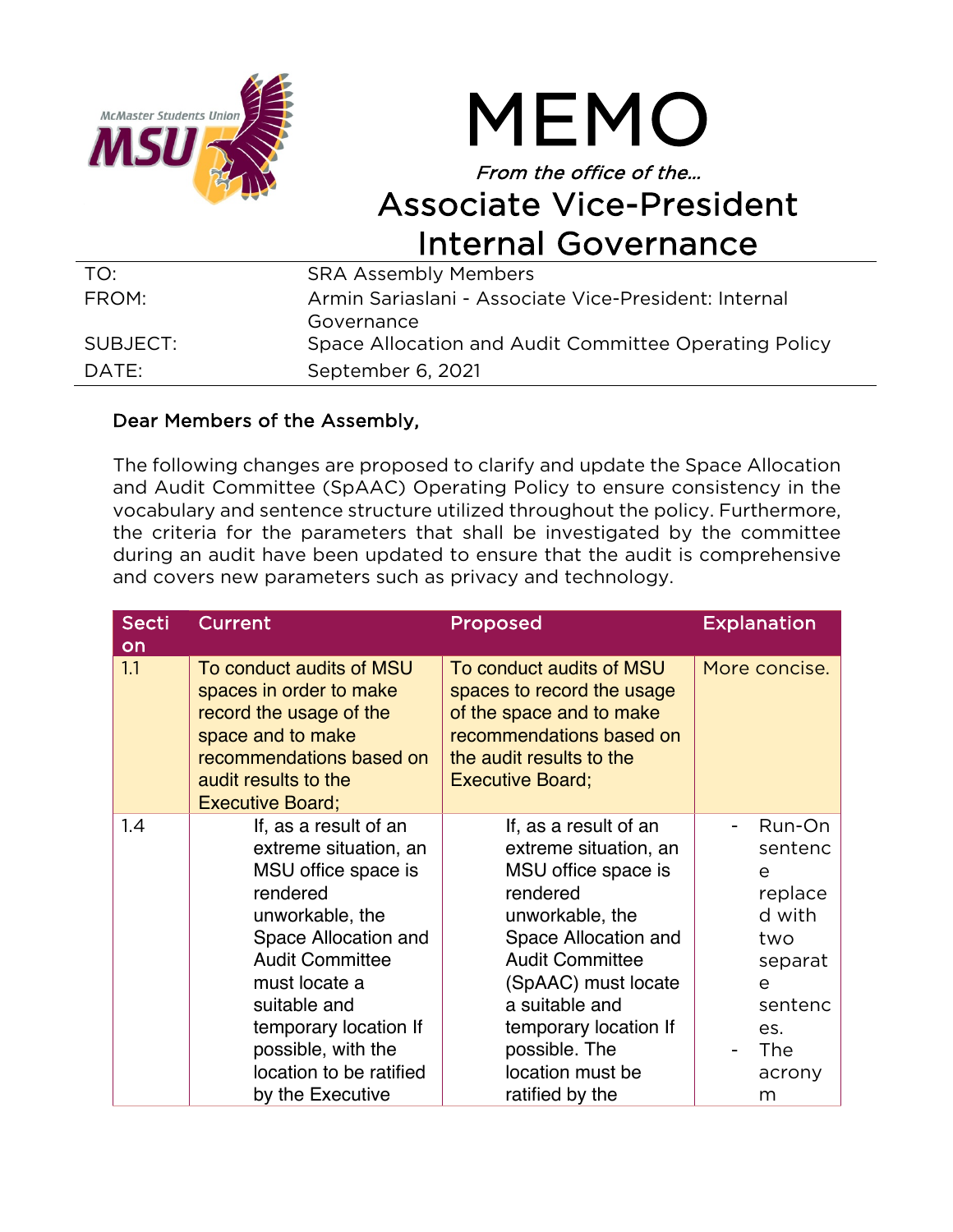



## From the office of the… Associate Vice-President Internal Governance

| TO:      | <b>SRA Assembly Members</b>                           |
|----------|-------------------------------------------------------|
| FROM:    | Armin Sariaslani - Associate Vice-President: Internal |
|          | Governance                                            |
| SUBJECT: | Space Allocation and Audit Committee Operating Policy |
| DATE:    | September 6, 2021                                     |

## Dear Members of the Assembly,

The following changes are proposed to clarify and update the Space Allocation and Audit Committee (SpAAC) Operating Policy to ensure consistency in the vocabulary and sentence structure utilized throughout the policy. Furthermore, the criteria for the parameters that shall be investigated by the committee during an audit have been updated to ensure that the audit is comprehensive and covers new parameters such as privacy and technology.

| <b>Secti</b><br>on | Current                                                                                                                                                                                                                                                                               | Proposed                                                                                                                                                                                                                                                                         | <b>Explanation</b>                                                                                                |
|--------------------|---------------------------------------------------------------------------------------------------------------------------------------------------------------------------------------------------------------------------------------------------------------------------------------|----------------------------------------------------------------------------------------------------------------------------------------------------------------------------------------------------------------------------------------------------------------------------------|-------------------------------------------------------------------------------------------------------------------|
| 1.1                | To conduct audits of MSU<br>spaces in order to make<br>record the usage of the<br>space and to make<br>recommendations based on<br>audit results to the<br><b>Executive Board;</b>                                                                                                    | To conduct audits of MSU<br>spaces to record the usage<br>of the space and to make<br>recommendations based on<br>the audit results to the<br><b>Executive Board;</b>                                                                                                            | More concise.                                                                                                     |
| 1.4                | If, as a result of an<br>extreme situation, an<br>MSU office space is<br>rendered<br>unworkable, the<br>Space Allocation and<br><b>Audit Committee</b><br>must locate a<br>suitable and<br>temporary location If<br>possible, with the<br>location to be ratified<br>by the Executive | If, as a result of an<br>extreme situation, an<br>MSU office space is<br>rendered<br>unworkable, the<br>Space Allocation and<br><b>Audit Committee</b><br>(SpAAC) must locate<br>a suitable and<br>temporary location If<br>possible. The<br>location must be<br>ratified by the | Run-On<br>sentenc<br>e<br>replace<br>d with<br>two<br>separat<br>e<br>sentenc<br>es.<br><b>The</b><br>acrony<br>m |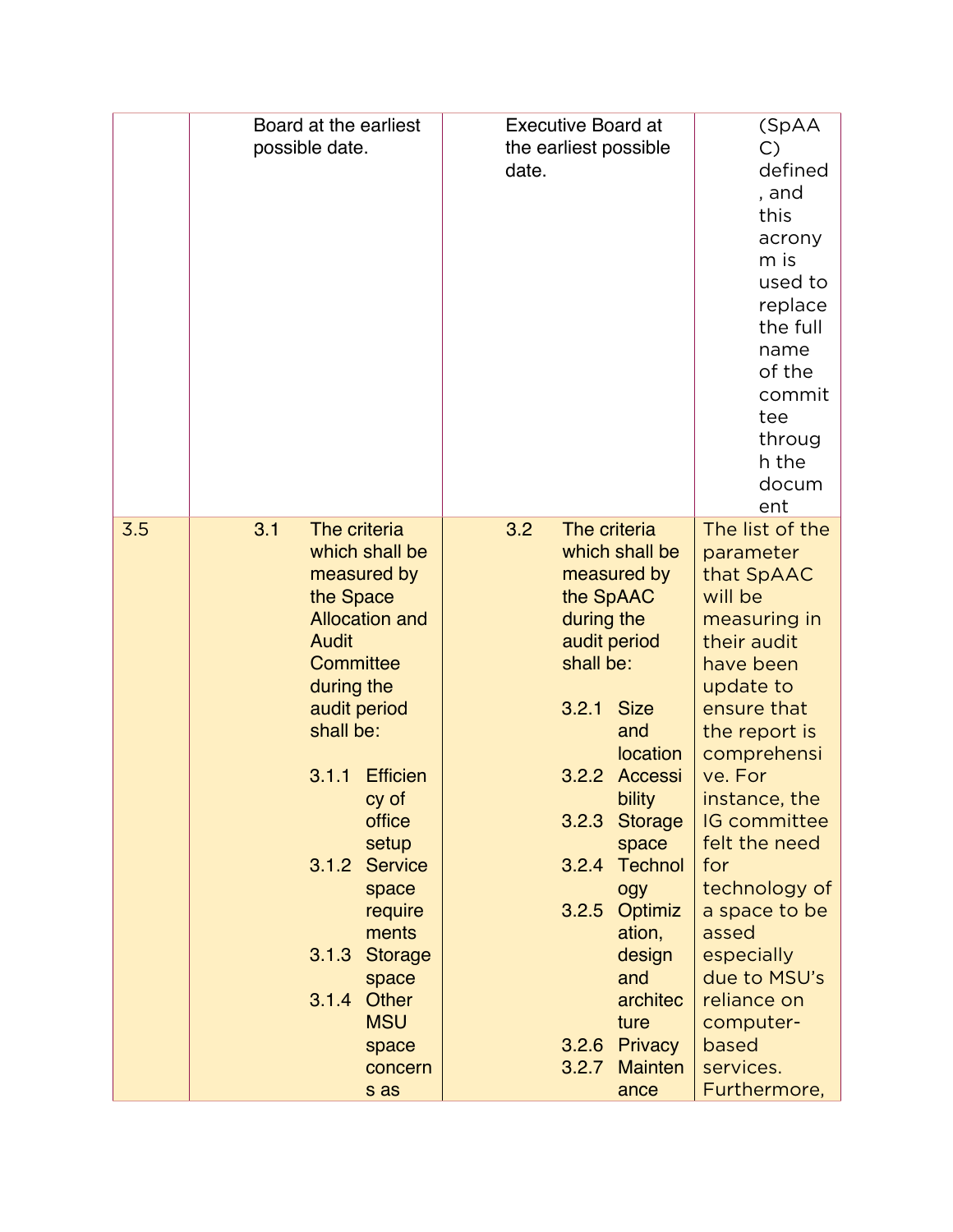|     | Board at the earliest<br>possible date.                                                                                                                                                                                                                                                                                                                                            | <b>Executive Board at</b><br>the earliest possible<br>date.                                                                                                                                                                                                                                                                                                           | (SpAA<br>$\mathcal{C}$<br>defined<br>, and<br>this<br>acrony<br>m is<br>used to<br>replace<br>the full<br>name<br>of the<br>commit<br>tee<br>throug<br>h the<br>docum<br>ent                                                                                                                                                                                                        |
|-----|------------------------------------------------------------------------------------------------------------------------------------------------------------------------------------------------------------------------------------------------------------------------------------------------------------------------------------------------------------------------------------|-----------------------------------------------------------------------------------------------------------------------------------------------------------------------------------------------------------------------------------------------------------------------------------------------------------------------------------------------------------------------|-------------------------------------------------------------------------------------------------------------------------------------------------------------------------------------------------------------------------------------------------------------------------------------------------------------------------------------------------------------------------------------|
| 3.5 | 3.1<br>The criteria<br>which shall be<br>measured by<br>the Space<br><b>Allocation and</b><br><b>Audit</b><br>Committee<br>during the<br>audit period<br>shall be:<br><b>Efficien</b><br>3.1.1<br>cy of<br>office<br>setup<br><b>Service</b><br>3.1.2<br>space<br>require<br>ments<br><b>Storage</b><br>3.1.3<br>space<br>3.1.4<br>Other<br><b>MSU</b><br>space<br>concern<br>s as | 3.2<br>The criteria<br>which shall be<br>measured by<br>the SpAAC<br>during the<br>audit period<br>shall be:<br>3.2.1<br><b>Size</b><br>and<br>location<br>3.2.2<br>Accessi<br>bility<br>3.2.3 Storage<br>space<br><b>Technol</b><br>3.2.4<br>ogy<br>3.2.5 Optimiz<br>ation,<br>design<br>and<br>architec<br>ture<br>3.2.6 Privacy<br>3.2.7<br><b>Mainten</b><br>ance | The list of the<br>parameter<br>that SpAAC<br>will be<br>measuring in<br>their audit<br>have been<br>update to<br>ensure that<br>the report is<br>comprehensi<br>ve. For<br>instance, the<br><b>IG</b> committee<br>felt the need<br>for<br>technology of<br>a space to be<br>assed<br>especially<br>due to MSU's<br>reliance on<br>computer-<br>based<br>services.<br>Furthermore, |